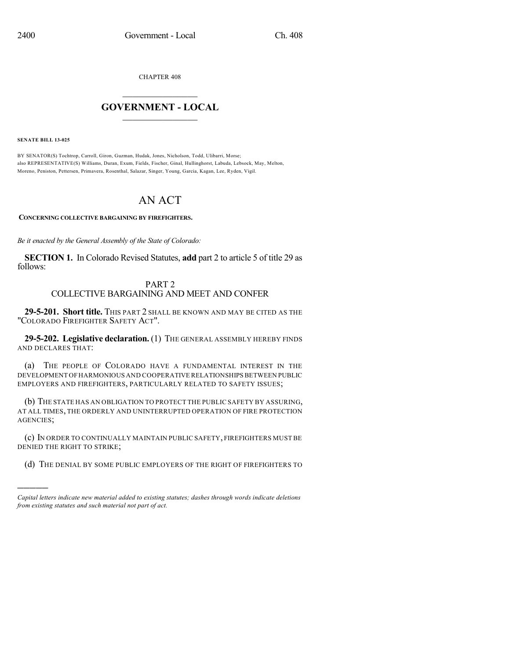CHAPTER 408

## $\overline{\phantom{a}}$  . The set of the set of the set of the set of the set of the set of the set of the set of the set of the set of the set of the set of the set of the set of the set of the set of the set of the set of the set o **GOVERNMENT - LOCAL**  $\_$

**SENATE BILL 13-025**

)))))

BY SENATOR(S) Tochtrop, Carroll, Giron, Guzman, Hudak, Jones, Nicholson, Todd, Ulibarri, Morse; also REPRESENTATIVE(S) Williams, Duran, Exum, Fields, Fischer, Ginal, Hullinghorst, Labuda, Lebsock, May, Melton, Moreno, Peniston, Pettersen, Primavera, Rosenthal, Salazar, Singer, Young, Garcia, Kagan, Lee, Ryden, Vigil.

# AN ACT

**CONCERNING COLLECTIVE BARGAINING BY FIREFIGHTERS.**

*Be it enacted by the General Assembly of the State of Colorado:*

**SECTION 1.** In Colorado Revised Statutes, **add** part 2 to article 5 of title 29 as follows:

### PART 2 COLLECTIVE BARGAINING AND MEET AND CONFER

**29-5-201. Short title.** THIS PART 2 SHALL BE KNOWN AND MAY BE CITED AS THE "COLORADO FIREFIGHTER SAFETY ACT".

**29-5-202. Legislative declaration.** (1) THE GENERAL ASSEMBLY HEREBY FINDS AND DECLARES THAT:

(a) THE PEOPLE OF COLORADO HAVE A FUNDAMENTAL INTEREST IN THE DEVELOPMENT OF HARMONIOUS AND COOPERATIVE RELATIONSHIPS BETWEEN PUBLIC EMPLOYERS AND FIREFIGHTERS, PARTICULARLY RELATED TO SAFETY ISSUES;

(b) THE STATE HAS AN OBLIGATION TO PROTECT THE PUBLIC SAFETY BY ASSURING, AT ALL TIMES, THE ORDERLY AND UNINTERRUPTED OPERATION OF FIRE PROTECTION AGENCIES;

(c) IN ORDER TO CONTINUALLY MAINTAIN PUBLIC SAFETY, FIREFIGHTERS MUST BE DENIED THE RIGHT TO STRIKE;

(d) THE DENIAL BY SOME PUBLIC EMPLOYERS OF THE RIGHT OF FIREFIGHTERS TO

*Capital letters indicate new material added to existing statutes; dashes through words indicate deletions from existing statutes and such material not part of act.*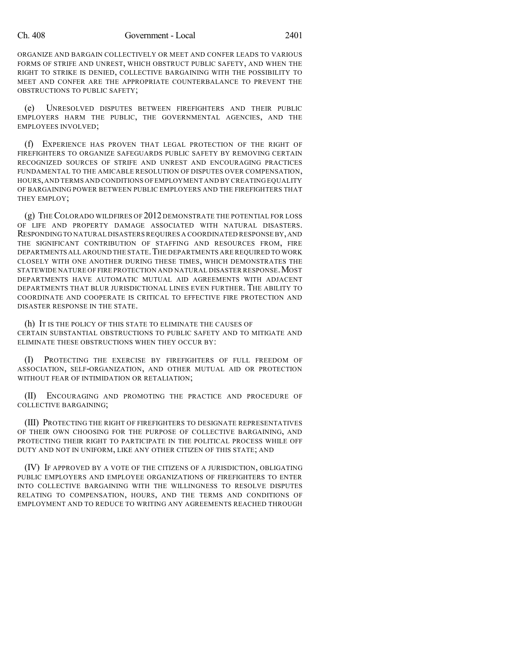ORGANIZE AND BARGAIN COLLECTIVELY OR MEET AND CONFER LEADS TO VARIOUS FORMS OF STRIFE AND UNREST, WHICH OBSTRUCT PUBLIC SAFETY, AND WHEN THE RIGHT TO STRIKE IS DENIED, COLLECTIVE BARGAINING WITH THE POSSIBILITY TO MEET AND CONFER ARE THE APPROPRIATE COUNTERBALANCE TO PREVENT THE OBSTRUCTIONS TO PUBLIC SAFETY;

(e) UNRESOLVED DISPUTES BETWEEN FIREFIGHTERS AND THEIR PUBLIC EMPLOYERS HARM THE PUBLIC, THE GOVERNMENTAL AGENCIES, AND THE EMPLOYEES INVOLVED;

(f) EXPERIENCE HAS PROVEN THAT LEGAL PROTECTION OF THE RIGHT OF FIREFIGHTERS TO ORGANIZE SAFEGUARDS PUBLIC SAFETY BY REMOVING CERTAIN RECOGNIZED SOURCES OF STRIFE AND UNREST AND ENCOURAGING PRACTICES FUNDAMENTAL TO THE AMICABLE RESOLUTION OF DISPUTES OVER COMPENSATION, HOURS,AND TERMS AND CONDITIONS OF EMPLOYMENT AND BY CREATING EQUALITY OF BARGAINING POWER BETWEEN PUBLIC EMPLOYERS AND THE FIREFIGHTERS THAT THEY EMPLOY;

(g) THE COLORADO WILDFIRES OF 2012 DEMONSTRATE THE POTENTIAL FOR LOSS OF LIFE AND PROPERTY DAMAGE ASSOCIATED WITH NATURAL DISASTERS. RESPONDING TO NATURAL DISASTERS REQUIRES A COORDINATED RESPONSEBY,AND THE SIGNIFICANT CONTRIBUTION OF STAFFING AND RESOURCES FROM, FIRE DEPARTMENTS ALL AROUND THE STATE. THE DEPARTMENTS ARE REQUIRED TO WORK CLOSELY WITH ONE ANOTHER DURING THESE TIMES, WHICH DEMONSTRATES THE STATEWIDE NATURE OF FIRE PROTECTION AND NATURAL DISASTER RESPONSE.MOST DEPARTMENTS HAVE AUTOMATIC MUTUAL AID AGREEMENTS WITH ADJACENT DEPARTMENTS THAT BLUR JURISDICTIONAL LINES EVEN FURTHER. THE ABILITY TO COORDINATE AND COOPERATE IS CRITICAL TO EFFECTIVE FIRE PROTECTION AND DISASTER RESPONSE IN THE STATE.

(h) IT IS THE POLICY OF THIS STATE TO ELIMINATE THE CAUSES OF CERTAIN SUBSTANTIAL OBSTRUCTIONS TO PUBLIC SAFETY AND TO MITIGATE AND ELIMINATE THESE OBSTRUCTIONS WHEN THEY OCCUR BY:

(I) PROTECTING THE EXERCISE BY FIREFIGHTERS OF FULL FREEDOM OF ASSOCIATION, SELF-ORGANIZATION, AND OTHER MUTUAL AID OR PROTECTION WITHOUT FEAR OF INTIMIDATION OR RETALIATION;

(II) ENCOURAGING AND PROMOTING THE PRACTICE AND PROCEDURE OF COLLECTIVE BARGAINING;

(III) PROTECTING THE RIGHT OF FIREFIGHTERS TO DESIGNATE REPRESENTATIVES OF THEIR OWN CHOOSING FOR THE PURPOSE OF COLLECTIVE BARGAINING, AND PROTECTING THEIR RIGHT TO PARTICIPATE IN THE POLITICAL PROCESS WHILE OFF DUTY AND NOT IN UNIFORM, LIKE ANY OTHER CITIZEN OF THIS STATE; AND

(IV) IF APPROVED BY A VOTE OF THE CITIZENS OF A JURISDICTION, OBLIGATING PUBLIC EMPLOYERS AND EMPLOYEE ORGANIZATIONS OF FIREFIGHTERS TO ENTER INTO COLLECTIVE BARGAINING WITH THE WILLINGNESS TO RESOLVE DISPUTES RELATING TO COMPENSATION, HOURS, AND THE TERMS AND CONDITIONS OF EMPLOYMENT AND TO REDUCE TO WRITING ANY AGREEMENTS REACHED THROUGH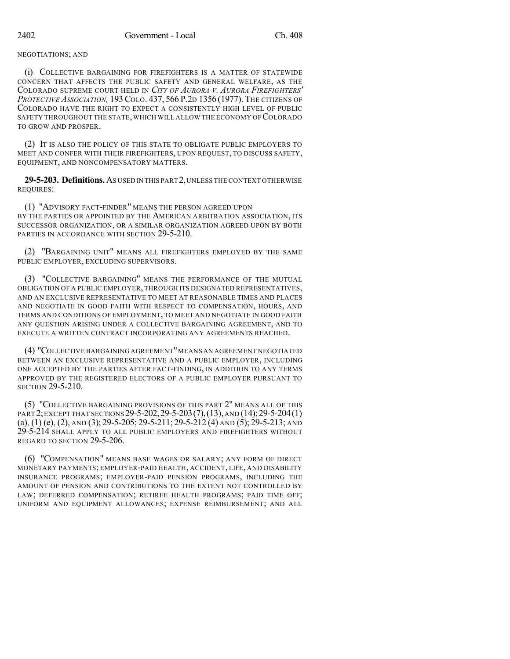#### NEGOTIATIONS; AND

(i) COLLECTIVE BARGAINING FOR FIREFIGHTERS IS A MATTER OF STATEWIDE CONCERN THAT AFFECTS THE PUBLIC SAFETY AND GENERAL WELFARE, AS THE COLORADO SUPREME COURT HELD IN *CITY OF AURORA V. AURORA FIREFIGHTERS' PROTECTIVE ASSOCIATION,* 193COLO. 437, 566 P.2D 1356 (1977). THE CITIZENS OF COLORADO HAVE THE RIGHT TO EXPECT A CONSISTENTLY HIGH LEVEL OF PUBLIC SAFETY THROUGHOUT THE STATE,WHICH WILL ALLOW THE ECONOMY OF COLORADO TO GROW AND PROSPER.

(2) IT IS ALSO THE POLICY OF THIS STATE TO OBLIGATE PUBLIC EMPLOYERS TO MEET AND CONFER WITH THEIR FIREFIGHTERS, UPON REQUEST, TO DISCUSS SAFETY, EQUIPMENT, AND NONCOMPENSATORY MATTERS.

**29-5-203. Definitions.**AS USED IN THIS PART 2,UNLESS THE CONTEXT OTHERWISE REQUIRES:

(1) "ADVISORY FACT-FINDER" MEANS THE PERSON AGREED UPON BY THE PARTIES OR APPOINTED BY THE AMERICAN ARBITRATION ASSOCIATION, ITS SUCCESSOR ORGANIZATION, OR A SIMILAR ORGANIZATION AGREED UPON BY BOTH PARTIES IN ACCORDANCE WITH SECTION 29-5-210.

(2) "BARGAINING UNIT" MEANS ALL FIREFIGHTERS EMPLOYED BY THE SAME PUBLIC EMPLOYER, EXCLUDING SUPERVISORS.

(3) "COLLECTIVE BARGAINING" MEANS THE PERFORMANCE OF THE MUTUAL OBLIGATION OF A PUBLIC EMPLOYER, THROUGH ITS DESIGNATED REPRESENTATIVES, AND AN EXCLUSIVE REPRESENTATIVE TO MEET AT REASONABLE TIMES AND PLACES AND NEGOTIATE IN GOOD FAITH WITH RESPECT TO COMPENSATION, HOURS, AND TERMS AND CONDITIONS OF EMPLOYMENT, TO MEET AND NEGOTIATE IN GOOD FAITH ANY QUESTION ARISING UNDER A COLLECTIVE BARGAINING AGREEMENT, AND TO EXECUTE A WRITTEN CONTRACT INCORPORATING ANY AGREEMENTS REACHED.

(4) "COLLECTIVE BARGAINING AGREEMENT"MEANS AN AGREEMENT NEGOTIATED BETWEEN AN EXCLUSIVE REPRESENTATIVE AND A PUBLIC EMPLOYER, INCLUDING ONE ACCEPTED BY THE PARTIES AFTER FACT-FINDING, IN ADDITION TO ANY TERMS APPROVED BY THE REGISTERED ELECTORS OF A PUBLIC EMPLOYER PURSUANT TO SECTION 29-5-210.

(5) "COLLECTIVE BARGAINING PROVISIONS OF THIS PART 2" MEANS ALL OF THIS PART 2;EXCEPT THAT SECTIONS 29-5-202,29-5-203(7),(13), AND (14);29-5-204(1) (a), (1) (e), (2), AND (3); 29-5-205; 29-5-211; 29-5-212 (4) AND (5); 29-5-213; AND 29-5-214 SHALL APPLY TO ALL PUBLIC EMPLOYERS AND FIREFIGHTERS WITHOUT REGARD TO SECTION 29-5-206.

(6) "COMPENSATION" MEANS BASE WAGES OR SALARY; ANY FORM OF DIRECT MONETARY PAYMENTS; EMPLOYER-PAID HEALTH, ACCIDENT, LIFE, AND DISABILITY INSURANCE PROGRAMS; EMPLOYER-PAID PENSION PROGRAMS, INCLUDING THE AMOUNT OF PENSION AND CONTRIBUTIONS TO THE EXTENT NOT CONTROLLED BY LAW; DEFERRED COMPENSATION; RETIREE HEALTH PROGRAMS; PAID TIME OFF; UNIFORM AND EQUIPMENT ALLOWANCES; EXPENSE REIMBURSEMENT; AND ALL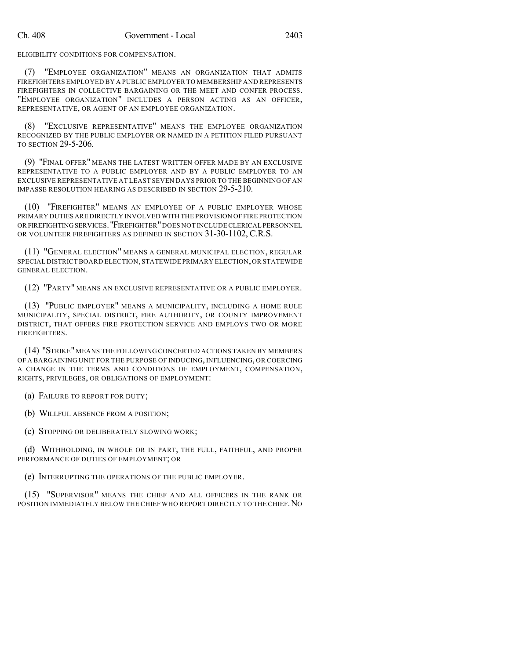ELIGIBILITY CONDITIONS FOR COMPENSATION.

(7) "EMPLOYEE ORGANIZATION" MEANS AN ORGANIZATION THAT ADMITS FIREFIGHTERS EMPLOYED BY A PUBLIC EMPLOYER TO MEMBERSHIP AND REPRESENTS FIREFIGHTERS IN COLLECTIVE BARGAINING OR THE MEET AND CONFER PROCESS. "EMPLOYEE ORGANIZATION" INCLUDES A PERSON ACTING AS AN OFFICER, REPRESENTATIVE, OR AGENT OF AN EMPLOYEE ORGANIZATION.

(8) "EXCLUSIVE REPRESENTATIVE" MEANS THE EMPLOYEE ORGANIZATION RECOGNIZED BY THE PUBLIC EMPLOYER OR NAMED IN A PETITION FILED PURSUANT TO SECTION 29-5-206.

(9) "FINAL OFFER" MEANS THE LATEST WRITTEN OFFER MADE BY AN EXCLUSIVE REPRESENTATIVE TO A PUBLIC EMPLOYER AND BY A PUBLIC EMPLOYER TO AN EXCLUSIVE REPRESENTATIVE AT LEAST SEVEN DAYS PRIOR TO THE BEGINNING OF AN IMPASSE RESOLUTION HEARING AS DESCRIBED IN SECTION 29-5-210.

(10) "FIREFIGHTER" MEANS AN EMPLOYEE OF A PUBLIC EMPLOYER WHOSE PRIMARY DUTIES ARE DIRECTLY INVOLVED WITH THE PROVISION OF FIRE PROTECTION OR FIREFIGHTINGSERVICES."FIREFIGHTER"DOES NOT INCLUDECLERICAL PERSONNEL OR VOLUNTEER FIREFIGHTERS AS DEFINED IN SECTION 31-30-1102, C.R.S.

(11) "GENERAL ELECTION" MEANS A GENERAL MUNICIPAL ELECTION, REGULAR SPECIAL DISTRICT BOARD ELECTION,STATEWIDE PRIMARY ELECTION,OR STATEWIDE GENERAL ELECTION.

(12) "PARTY" MEANS AN EXCLUSIVE REPRESENTATIVE OR A PUBLIC EMPLOYER.

(13) "PUBLIC EMPLOYER" MEANS A MUNICIPALITY, INCLUDING A HOME RULE MUNICIPALITY, SPECIAL DISTRICT, FIRE AUTHORITY, OR COUNTY IMPROVEMENT DISTRICT, THAT OFFERS FIRE PROTECTION SERVICE AND EMPLOYS TWO OR MORE FIREFIGHTERS.

(14) "STRIKE"MEANS THE FOLLOWING CONCERTED ACTIONS TAKEN BY MEMBERS OF A BARGAINING UNIT FOR THE PURPOSE OF INDUCING, INFLUENCING, OR COERCING A CHANGE IN THE TERMS AND CONDITIONS OF EMPLOYMENT, COMPENSATION, RIGHTS, PRIVILEGES, OR OBLIGATIONS OF EMPLOYMENT:

(a) FAILURE TO REPORT FOR DUTY;

(b) WILLFUL ABSENCE FROM A POSITION;

(c) STOPPING OR DELIBERATELY SLOWING WORK;

(d) WITHHOLDING, IN WHOLE OR IN PART, THE FULL, FAITHFUL, AND PROPER PERFORMANCE OF DUTIES OF EMPLOYMENT; OR

(e) INTERRUPTING THE OPERATIONS OF THE PUBLIC EMPLOYER.

(15) "SUPERVISOR" MEANS THE CHIEF AND ALL OFFICERS IN THE RANK OR POSITION IMMEDIATELY BELOW THE CHIEF WHO REPORT DIRECTLY TO THE CHIEF.NO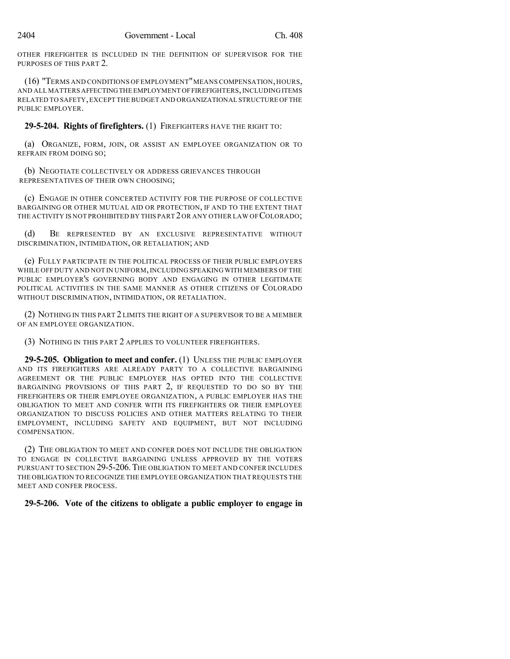OTHER FIREFIGHTER IS INCLUDED IN THE DEFINITION OF SUPERVISOR FOR THE PURPOSES OF THIS PART 2.

(16) "TERMS AND CONDITIONS OF EMPLOYMENT"MEANS COMPENSATION,HOURS, AND ALL MATTERS AFFECTINGTHE EMPLOYMENT OFFIREFIGHTERS,INCLUDING ITEMS RELATED TO SAFETY,EXCEPT THE BUDGET AND ORGANIZATIONAL STRUCTURE OFTHE PUBLIC EMPLOYER

**29-5-204. Rights of firefighters.** (1) FIREFIGHTERS HAVE THE RIGHT TO:

(a) ORGANIZE, FORM, JOIN, OR ASSIST AN EMPLOYEE ORGANIZATION OR TO REFRAIN FROM DOING SO;

(b) NEGOTIATE COLLECTIVELY OR ADDRESS GRIEVANCES THROUGH REPRESENTATIVES OF THEIR OWN CHOOSING;

(c) ENGAGE IN OTHER CONCERTED ACTIVITY FOR THE PURPOSE OF COLLECTIVE BARGAINING OR OTHER MUTUAL AID OR PROTECTION, IF AND TO THE EXTENT THAT THE ACTIVITY IS NOT PROHIBITED BY THIS PART 2OR ANY OTHER LAW OF COLORADO;

(d) BE REPRESENTED BY AN EXCLUSIVE REPRESENTATIVE WITHOUT DISCRIMINATION, INTIMIDATION, OR RETALIATION; AND

(e) FULLY PARTICIPATE IN THE POLITICAL PROCESS OF THEIR PUBLIC EMPLOYERS WHILE OFF DUTY AND NOT IN UNIFORM, INCLUDING SPEAKING WITH MEMBERS OF THE PUBLIC EMPLOYER'S GOVERNING BODY AND ENGAGING IN OTHER LEGITIMATE POLITICAL ACTIVITIES IN THE SAME MANNER AS OTHER CITIZENS OF COLORADO WITHOUT DISCRIMINATION, INTIMIDATION, OR RETALIATION.

(2) NOTHING IN THIS PART 2 LIMITS THE RIGHT OF A SUPERVISOR TO BE A MEMBER OF AN EMPLOYEE ORGANIZATION.

(3) NOTHING IN THIS PART 2 APPLIES TO VOLUNTEER FIREFIGHTERS.

**29-5-205. Obligation to meet and confer.** (1) UNLESS THE PUBLIC EMPLOYER AND ITS FIREFIGHTERS ARE ALREADY PARTY TO A COLLECTIVE BARGAINING AGREEMENT OR THE PUBLIC EMPLOYER HAS OPTED INTO THE COLLECTIVE BARGAINING PROVISIONS OF THIS PART 2, IF REQUESTED TO DO SO BY THE FIREFIGHTERS OR THEIR EMPLOYEE ORGANIZATION, A PUBLIC EMPLOYER HAS THE OBLIGATION TO MEET AND CONFER WITH ITS FIREFIGHTERS OR THEIR EMPLOYEE ORGANIZATION TO DISCUSS POLICIES AND OTHER MATTERS RELATING TO THEIR EMPLOYMENT, INCLUDING SAFETY AND EQUIPMENT, BUT NOT INCLUDING COMPENSATION.

(2) THE OBLIGATION TO MEET AND CONFER DOES NOT INCLUDE THE OBLIGATION TO ENGAGE IN COLLECTIVE BARGAINING UNLESS APPROVED BY THE VOTERS PURSUANT TO SECTION 29-5-206.THE OBLIGATION TO MEET AND CONFER INCLUDES THE OBLIGATION TO RECOGNIZE THE EMPLOYEE ORGANIZATION THATREQUESTS THE MEET AND CONFER PROCESS.

# **29-5-206. Vote of the citizens to obligate a public employer to engage in**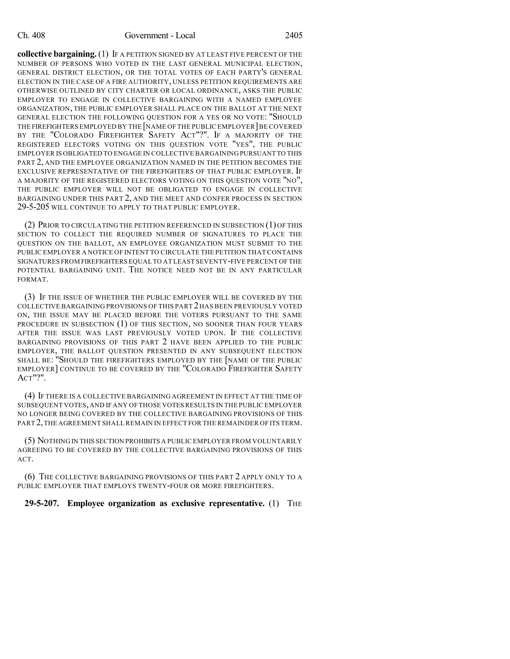#### Ch. 408 Government - Local 2405

**collective bargaining.** (1) IF A PETITION SIGNED BY AT LEAST FIVE PERCENT OF THE NUMBER OF PERSONS WHO VOTED IN THE LAST GENERAL MUNICIPAL ELECTION, GENERAL DISTRICT ELECTION, OR THE TOTAL VOTES OF EACH PARTY'S GENERAL ELECTION IN THE CASE OF A FIRE AUTHORITY, UNLESS PETITION REQUIREMENTS ARE OTHERWISE OUTLINED BY CITY CHARTER OR LOCAL ORDINANCE, ASKS THE PUBLIC EMPLOYER TO ENGAGE IN COLLECTIVE BARGAINING WITH A NAMED EMPLOYEE ORGANIZATION, THE PUBLIC EMPLOYER SHALL PLACE ON THE BALLOT AT THE NEXT GENERAL ELECTION THE FOLLOWING QUESTION FOR A YES OR NO VOTE: "SHOULD THE FIREFIGHTERS EMPLOYED BY THE [NAME OF THE PUBLIC EMPLOYER]BE COVERED BY THE "COLORADO FIREFIGHTER SAFETY ACT"?". IF A MAJORITY OF THE REGISTERED ELECTORS VOTING ON THIS QUESTION VOTE "YES", THE PUBLIC EMPLOYER IS OBLIGATED TO ENGAGE IN COLLECTIVE BARGAINING PURSUANT TO THIS PART 2, AND THE EMPLOYEE ORGANIZATION NAMED IN THE PETITION BECOMES THE EXCLUSIVE REPRESENTATIVE OF THE FIREFIGHTERS OF THAT PUBLIC EMPLOYER. IF A MAJORITY OF THE REGISTERED ELECTORS VOTING ON THIS QUESTION VOTE "NO", THE PUBLIC EMPLOYER WILL NOT BE OBLIGATED TO ENGAGE IN COLLECTIVE BARGAINING UNDER THIS PART 2, AND THE MEET AND CONFER PROCESS IN SECTION 29-5-205 WILL CONTINUE TO APPLY TO THAT PUBLIC EMPLOYER.

(2) PRIOR TO CIRCULATING THE PETITION REFERENCED IN SUBSECTION (1) OF THIS SECTION TO COLLECT THE REQUIRED NUMBER OF SIGNATURES TO PLACE THE QUESTION ON THE BALLOT, AN EMPLOYEE ORGANIZATION MUST SUBMIT TO THE PUBLIC EMPLOYER A NOTICE OF INTENT TO CIRCULATE THE PETITION THAT CONTAINS SIGNATURES FROM FIREFIGHTERS EQUAL TO AT LEAST SEVENTY-FIVE PERCENT OF THE POTENTIAL BARGAINING UNIT. THE NOTICE NEED NOT BE IN ANY PARTICULAR FORMAT.

(3) IF THE ISSUE OF WHETHER THE PUBLIC EMPLOYER WILL BE COVERED BY THE COLLECTIVE BARGAINING PROVISIONS OF THIS PART 2HAS BEEN PREVIOUSLY VOTED ON, THE ISSUE MAY BE PLACED BEFORE THE VOTERS PURSUANT TO THE SAME PROCEDURE IN SUBSECTION (1) OF THIS SECTION, NO SOONER THAN FOUR YEARS AFTER THE ISSUE WAS LAST PREVIOUSLY VOTED UPON. IF THE COLLECTIVE BARGAINING PROVISIONS OF THIS PART 2 HAVE BEEN APPLIED TO THE PUBLIC EMPLOYER, THE BALLOT QUESTION PRESENTED IN ANY SUBSEQUENT ELECTION SHALL BE: "SHOULD THE FIREFIGHTERS EMPLOYED BY THE [NAME OF THE PUBLIC EMPLOYER] CONTINUE TO BE COVERED BY THE "COLORADO FIREFIGHTER SAFETY ACT"?".

(4) IF THERE IS A COLLECTIVE BARGAINING AGREEMENT IN EFFECT AT THE TIME OF SUBSEQUENT VOTES,AND IF ANY OF THOSE VOTESRESULTS IN THE PUBLIC EMPLOYER NO LONGER BEING COVERED BY THE COLLECTIVE BARGAINING PROVISIONS OF THIS PART 2,THE AGREEMENT SHALL REMAIN IN EFFECT FOR THE REMAINDER OF ITS TERM.

(5) NOTHING IN THIS SECTION PROHIBITS A PUBLIC EMPLOYER FROM VOLUNTARILY AGREEING TO BE COVERED BY THE COLLECTIVE BARGAINING PROVISIONS OF THIS ACT.

(6) THE COLLECTIVE BARGAINING PROVISIONS OF THIS PART 2 APPLY ONLY TO A PUBLIC EMPLOYER THAT EMPLOYS TWENTY-FOUR OR MORE FIREFIGHTERS.

### **29-5-207. Employee organization as exclusive representative.** (1) THE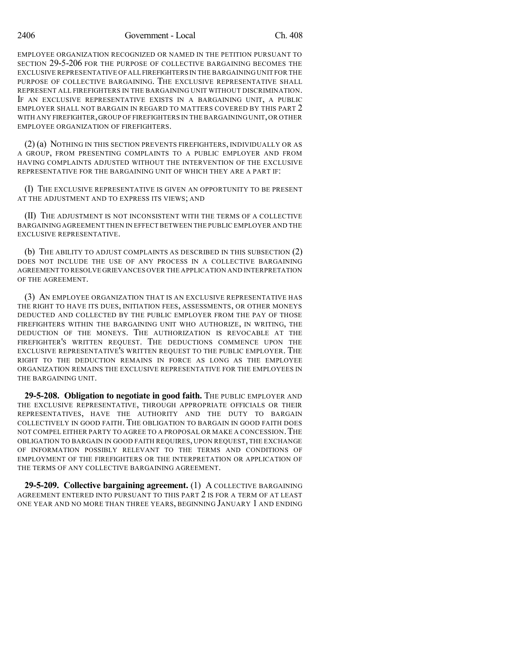EMPLOYEE ORGANIZATION RECOGNIZED OR NAMED IN THE PETITION PURSUANT TO SECTION 29-5-206 FOR THE PURPOSE OF COLLECTIVE BARGAINING BECOMES THE EXCLUSIVE REPRESENTATIVE OFALL FIREFIGHTERS IN THE BARGAINING UNIT FOR THE PURPOSE OF COLLECTIVE BARGAINING. THE EXCLUSIVE REPRESENTATIVE SHALL REPRESENT ALL FIREFIGHTERS IN THE BARGAINING UNIT WITHOUT DISCRIMINATION. IF AN EXCLUSIVE REPRESENTATIVE EXISTS IN A BARGAINING UNIT, A PUBLIC EMPLOYER SHALL NOT BARGAIN IN REGARD TO MATTERS COVERED BY THIS PART 2 WITH ANY FIREFIGHTER,GROUP OF FIREFIGHTERS IN THE BARGAINING UNIT,OR OTHER EMPLOYEE ORGANIZATION OF FIREFIGHTERS.

(2) (a) NOTHING IN THIS SECTION PREVENTS FIREFIGHTERS, INDIVIDUALLY OR AS A GROUP, FROM PRESENTING COMPLAINTS TO A PUBLIC EMPLOYER AND FROM HAVING COMPLAINTS ADJUSTED WITHOUT THE INTERVENTION OF THE EXCLUSIVE REPRESENTATIVE FOR THE BARGAINING UNIT OF WHICH THEY ARE A PART IF:

(I) THE EXCLUSIVE REPRESENTATIVE IS GIVEN AN OPPORTUNITY TO BE PRESENT AT THE ADJUSTMENT AND TO EXPRESS ITS VIEWS; AND

(II) THE ADJUSTMENT IS NOT INCONSISTENT WITH THE TERMS OF A COLLECTIVE BARGAINING AGREEMENT THEN IN EFFECTBETWEEN THE PUBLIC EMPLOYER AND THE EXCLUSIVE REPRESENTATIVE.

(b) THE ABILITY TO ADJUST COMPLAINTS AS DESCRIBED IN THIS SUBSECTION (2) DOES NOT INCLUDE THE USE OF ANY PROCESS IN A COLLECTIVE BARGAINING AGREEMENT TO RESOLVE GRIEVANCES OVER THE APPLICATION AND INTERPRETATION OF THE AGREEMENT.

(3) AN EMPLOYEE ORGANIZATION THAT IS AN EXCLUSIVE REPRESENTATIVE HAS THE RIGHT TO HAVE ITS DUES, INITIATION FEES, ASSESSMENTS, OR OTHER MONEYS DEDUCTED AND COLLECTED BY THE PUBLIC EMPLOYER FROM THE PAY OF THOSE FIREFIGHTERS WITHIN THE BARGAINING UNIT WHO AUTHORIZE, IN WRITING, THE DEDUCTION OF THE MONEYS. THE AUTHORIZATION IS REVOCABLE AT THE FIREFIGHTER'S WRITTEN REQUEST. THE DEDUCTIONS COMMENCE UPON THE EXCLUSIVE REPRESENTATIVE'S WRITTEN REQUEST TO THE PUBLIC EMPLOYER. THE RIGHT TO THE DEDUCTION REMAINS IN FORCE AS LONG AS THE EMPLOYEE ORGANIZATION REMAINS THE EXCLUSIVE REPRESENTATIVE FOR THE EMPLOYEES IN THE BARGAINING UNIT.

**29-5-208. Obligation to negotiate in good faith.** The PUBLIC EMPLOYER AND THE EXCLUSIVE REPRESENTATIVE, THROUGH APPROPRIATE OFFICIALS OR THEIR REPRESENTATIVES, HAVE THE AUTHORITY AND THE DUTY TO BARGAIN COLLECTIVELY IN GOOD FAITH. THE OBLIGATION TO BARGAIN IN GOOD FAITH DOES NOT COMPEL EITHER PARTY TO AGREE TO A PROPOSAL OR MAKE A CONCESSION.THE OBLIGATION TO BARGAIN IN GOOD FAITH REQUIRES, UPON REQUEST, THE EXCHANGE OF INFORMATION POSSIBLY RELEVANT TO THE TERMS AND CONDITIONS OF EMPLOYMENT OF THE FIREFIGHTERS OR THE INTERPRETATION OR APPLICATION OF THE TERMS OF ANY COLLECTIVE BARGAINING AGREEMENT.

**29-5-209. Collective bargaining agreement.** (1) A COLLECTIVE BARGAINING AGREEMENT ENTERED INTO PURSUANT TO THIS PART 2 IS FOR A TERM OF AT LEAST ONE YEAR AND NO MORE THAN THREE YEARS, BEGINNING JANUARY 1 AND ENDING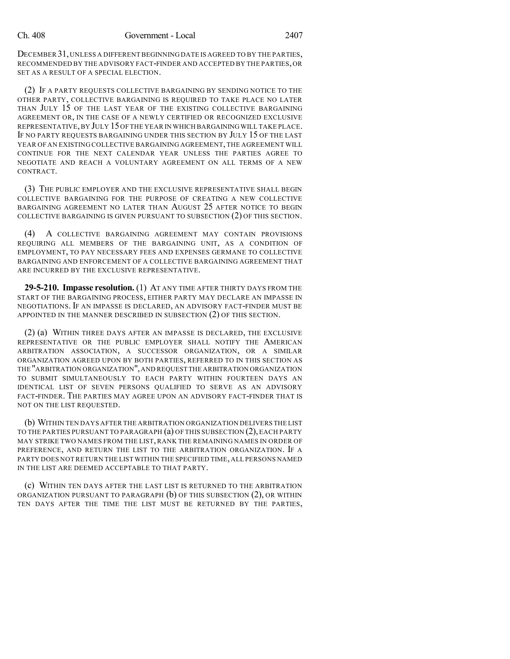DECEMBER 31,UNLESS A DIFFERENT BEGINNING DATE IS AGREED TO BY THE PARTIES, RECOMMENDED BY THE ADVISORY FACT-FINDER AND ACCEPTED BY THE PARTIES,OR SET AS A RESULT OF A SPECIAL ELECTION.

(2) IF A PARTY REQUESTS COLLECTIVE BARGAINING BY SENDING NOTICE TO THE OTHER PARTY, COLLECTIVE BARGAINING IS REQUIRED TO TAKE PLACE NO LATER THAN JULY 15 OF THE LAST YEAR OF THE EXISTING COLLECTIVE BARGAINING AGREEMENT OR, IN THE CASE OF A NEWLY CERTIFIED OR RECOGNIZED EXCLUSIVE REPRESENTATIVE,BY JULY 15OF THE YEAR IN WHICH BARGAINING WILL TAKE PLACE. IF NO PARTY REQUESTS BARGAINING UNDER THIS SECTION BY JULY 15 OF THE LAST YEAR OF AN EXISTING COLLECTIVE BARGAINING AGREEMENT, THE AGREEMENT WILL CONTINUE FOR THE NEXT CALENDAR YEAR UNLESS THE PARTIES AGREE TO NEGOTIATE AND REACH A VOLUNTARY AGREEMENT ON ALL TERMS OF A NEW CONTRACT.

(3) THE PUBLIC EMPLOYER AND THE EXCLUSIVE REPRESENTATIVE SHALL BEGIN COLLECTIVE BARGAINING FOR THE PURPOSE OF CREATING A NEW COLLECTIVE BARGAINING AGREEMENT NO LATER THAN AUGUST 25 AFTER NOTICE TO BEGIN COLLECTIVE BARGAINING IS GIVEN PURSUANT TO SUBSECTION (2) OF THIS SECTION.

(4) A COLLECTIVE BARGAINING AGREEMENT MAY CONTAIN PROVISIONS REQUIRING ALL MEMBERS OF THE BARGAINING UNIT, AS A CONDITION OF EMPLOYMENT, TO PAY NECESSARY FEES AND EXPENSES GERMANE TO COLLECTIVE BARGAINING AND ENFORCEMENT OF A COLLECTIVE BARGAINING AGREEMENT THAT ARE INCURRED BY THE EXCLUSIVE REPRESENTATIVE.

**29-5-210. Impasse resolution.** (1) AT ANY TIME AFTER THIRTY DAYS FROM THE START OF THE BARGAINING PROCESS, EITHER PARTY MAY DECLARE AN IMPASSE IN NEGOTIATIONS. IF AN IMPASSE IS DECLARED, AN ADVISORY FACT-FINDER MUST BE APPOINTED IN THE MANNER DESCRIBED IN SUBSECTION (2) OF THIS SECTION.

(2) (a) WITHIN THREE DAYS AFTER AN IMPASSE IS DECLARED, THE EXCLUSIVE REPRESENTATIVE OR THE PUBLIC EMPLOYER SHALL NOTIFY THE AMERICAN ARBITRATION ASSOCIATION, A SUCCESSOR ORGANIZATION, OR A SIMILAR ORGANIZATION AGREED UPON BY BOTH PARTIES, REFERRED TO IN THIS SECTION AS THE "ARBITRATION ORGANIZATION",AND REQUEST THE ARBITRATION ORGANIZATION TO SUBMIT SIMULTANEOUSLY TO EACH PARTY WITHIN FOURTEEN DAYS AN IDENTICAL LIST OF SEVEN PERSONS QUALIFIED TO SERVE AS AN ADVISORY FACT-FINDER. THE PARTIES MAY AGREE UPON AN ADVISORY FACT-FINDER THAT IS NOT ON THE LIST REQUESTED.

(b) WITHIN TEN DAYS AFTER THE ARBITRATION ORGANIZATION DELIVERS THE LIST TO THE PARTIES PURSUANT TO PARAGRAPH (a) OF THIS SUBSECTION (2),EACH PARTY MAY STRIKE TWO NAMES FROM THE LIST, RANK THE REMAINING NAMES IN ORDER OF PREFERENCE, AND RETURN THE LIST TO THE ARBITRATION ORGANIZATION. IF A PARTY DOES NOTRETURN THE LIST WITHIN THE SPECIFIED TIME,ALL PERSONS NAMED IN THE LIST ARE DEEMED ACCEPTABLE TO THAT PARTY.

(c) WITHIN TEN DAYS AFTER THE LAST LIST IS RETURNED TO THE ARBITRATION ORGANIZATION PURSUANT TO PARAGRAPH (b) OF THIS SUBSECTION (2), OR WITHIN TEN DAYS AFTER THE TIME THE LIST MUST BE RETURNED BY THE PARTIES,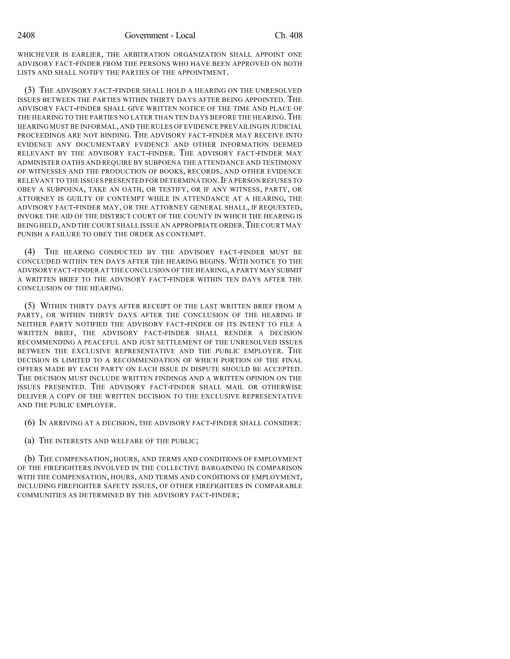WHICHEVER IS EARLIER, THE ARBITRATION ORGANIZATION SHALL APPOINT ONE ADVISORY FACT-FINDER FROM THE PERSONS WHO HAVE BEEN APPROVED ON BOTH LISTS AND SHALL NOTIFY THE PARTIES OF THE APPOINTMENT.

(3) THE ADVISORY FACT-FINDER SHALL HOLD A HEARING ON THE UNRESOLVED ISSUES BETWEEN THE PARTIES WITHIN THIRTY DAYS AFTER BEING APPOINTED. THE ADVISORY FACT-FINDER SHALL GIVE WRITTEN NOTICE OF THE TIME AND PLACE OF THE HEARING TO THE PARTIES NO LATER THAN TEN DAYS BEFORE THE HEARING. THE HEARING MUST BE INFORMAL, AND THE RULES OF EVIDENCE PREVAILING IN JUDICIAL PROCEEDINGS ARE NOT BINDING. THE ADVISORY FACT-FINDER MAY RECEIVE INTO EVIDENCE ANY DOCUMENTARY EVIDENCE AND OTHER INFORMATION DEEMED RELEVANT BY THE ADVISORY FACT-FINDER. THE ADVISORY FACT-FINDER MAY ADMINISTER OATHS AND REQUIRE BY SUBPOENA THE ATTENDANCE AND TESTIMONY OF WITNESSES AND THE PRODUCTION OF BOOKS, RECORDS, AND OTHER EVIDENCE RELEVANT TO THE ISSUES PRESENTED FOR DETERMINATION. IF A PERSON REFUSES TO OBEY A SUBPOENA, TAKE AN OATH, OR TESTIFY, OR IF ANY WITNESS, PARTY, OR ATTORNEY IS GUILTY OF CONTEMPT WHILE IN ATTENDANCE AT A HEARING, THE ADVISORY FACT-FINDER MAY, OR THE ATTORNEY GENERAL SHALL, IF REQUESTED, INVOKE THE AID OF THE DISTRICT COURT OF THE COUNTY IN WHICH THE HEARING IS BEING HELD, AND THE COURT SHALL ISSUE AN APPROPRIATE ORDER. THE COURT MAY PUNISH A FAILURE TO OBEY THE ORDER AS CONTEMPT.

(4) THE HEARING CONDUCTED BY THE ADVISORY FACT-FINDER MUST BE CONCLUDED WITHIN TEN DAYS AFTER THE HEARING BEGINS. WITH NOTICE TO THE ADVISORY FACT-FINDER AT THE CONCLUSION OF THE HEARING,A PARTY MAY SUBMIT A WRITTEN BRIEF TO THE ADVISORY FACT-FINDER WITHIN TEN DAYS AFTER THE CONCLUSION OF THE HEARING.

(5) WITHIN THIRTY DAYS AFTER RECEIPT OF THE LAST WRITTEN BRIEF FROM A PARTY, OR WITHIN THIRTY DAYS AFTER THE CONCLUSION OF THE HEARING IF NEITHER PARTY NOTIFIED THE ADVISORY FACT-FINDER OF ITS INTENT TO FILE A WRITTEN BRIEF, THE ADVISORY FACT-FINDER SHALL RENDER A DECISION RECOMMENDING A PEACEFUL AND JUST SETTLEMENT OF THE UNRESOLVED ISSUES BETWEEN THE EXCLUSIVE REPRESENTATIVE AND THE PUBLIC EMPLOYER. THE DECISION IS LIMITED TO A RECOMMENDATION OF WHICH PORTION OF THE FINAL OFFERS MADE BY EACH PARTY ON EACH ISSUE IN DISPUTE SHOULD BE ACCEPTED. THE DECISION MUST INCLUDE WRITTEN FINDINGS AND A WRITTEN OPINION ON THE ISSUES PRESENTED. THE ADVISORY FACT-FINDER SHALL MAIL OR OTHERWISE DELIVER A COPY OF THE WRITTEN DECISION TO THE EXCLUSIVE REPRESENTATIVE AND THE PUBLIC EMPLOYER.

(6) IN ARRIVING AT A DECISION, THE ADVISORY FACT-FINDER SHALL CONSIDER:

(a) THE INTERESTS AND WELFARE OF THE PUBLIC;

(b) THE COMPENSATION, HOURS, AND TERMS AND CONDITIONS OF EMPLOYMENT OF THE FIREFIGHTERS INVOLVED IN THE COLLECTIVE BARGAINING IN COMPARISON WITH THE COMPENSATION, HOURS, AND TERMS AND CONDITIONS OF EMPLOYMENT, INCLUDING FIREFIGHTER SAFETY ISSUES, OF OTHER FIREFIGHTERS IN COMPARABLE COMMUNITIES AS DETERMINED BY THE ADVISORY FACT-FINDER;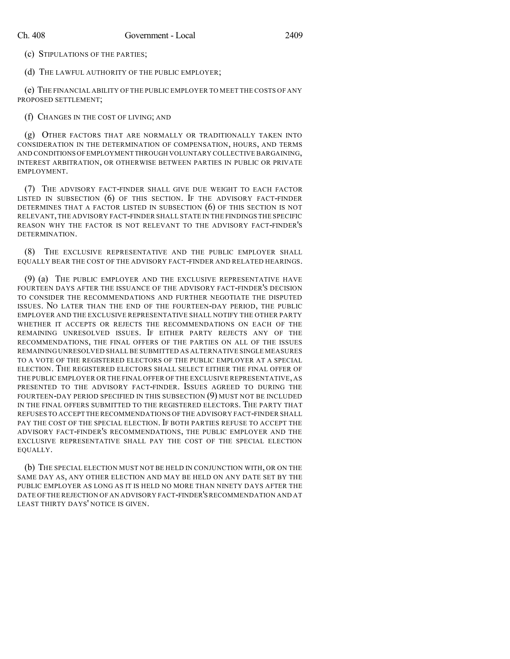(c) STIPULATIONS OF THE PARTIES;

(d) THE LAWFUL AUTHORITY OF THE PUBLIC EMPLOYER;

(e) THE FINANCIAL ABILITY OF THE PUBLIC EMPLOYER TO MEET THE COSTS OF ANY PROPOSED SETTLEMENT;

(f) CHANGES IN THE COST OF LIVING; AND

(g) OTHER FACTORS THAT ARE NORMALLY OR TRADITIONALLY TAKEN INTO CONSIDERATION IN THE DETERMINATION OF COMPENSATION, HOURS, AND TERMS AND CONDITIONS OFEMPLOYMENT THROUGH VOLUNTARY COLLECTIVE BARGAINING, INTEREST ARBITRATION, OR OTHERWISE BETWEEN PARTIES IN PUBLIC OR PRIVATE EMPLOYMENT.

(7) THE ADVISORY FACT-FINDER SHALL GIVE DUE WEIGHT TO EACH FACTOR LISTED IN SUBSECTION (6) OF THIS SECTION. IF THE ADVISORY FACT-FINDER DETERMINES THAT A FACTOR LISTED IN SUBSECTION (6) OF THIS SECTION IS NOT RELEVANT,THE ADVISORY FACT-FINDER SHALL STATE IN THE FINDINGS THE SPECIFIC REASON WHY THE FACTOR IS NOT RELEVANT TO THE ADVISORY FACT-FINDER'S DETERMINATION.

(8) THE EXCLUSIVE REPRESENTATIVE AND THE PUBLIC EMPLOYER SHALL EQUALLY BEAR THE COST OF THE ADVISORY FACT-FINDER AND RELATED HEARINGS.

(9) (a) THE PUBLIC EMPLOYER AND THE EXCLUSIVE REPRESENTATIVE HAVE FOURTEEN DAYS AFTER THE ISSUANCE OF THE ADVISORY FACT-FINDER'S DECISION TO CONSIDER THE RECOMMENDATIONS AND FURTHER NEGOTIATE THE DISPUTED ISSUES. NO LATER THAN THE END OF THE FOURTEEN-DAY PERIOD, THE PUBLIC EMPLOYER AND THE EXCLUSIVE REPRESENTATIVE SHALL NOTIFY THE OTHER PARTY WHETHER IT ACCEPTS OR REJECTS THE RECOMMENDATIONS ON EACH OF THE REMAINING UNRESOLVED ISSUES. IF EITHER PARTY REJECTS ANY OF THE RECOMMENDATIONS, THE FINAL OFFERS OF THE PARTIES ON ALL OF THE ISSUES REMAINING UNRESOLVED SHALL BE SUBMITTED AS ALTERNATIVE SINGLE MEASURES TO A VOTE OF THE REGISTERED ELECTORS OF THE PUBLIC EMPLOYER AT A SPECIAL ELECTION. THE REGISTERED ELECTORS SHALL SELECT EITHER THE FINAL OFFER OF THE PUBLIC EMPLOYER OR THE FINAL OFFER OF THE EXCLUSIVE REPRESENTATIVE, AS PRESENTED TO THE ADVISORY FACT-FINDER. ISSUES AGREED TO DURING THE FOURTEEN-DAY PERIOD SPECIFIED IN THIS SUBSECTION (9) MUST NOT BE INCLUDED IN THE FINAL OFFERS SUBMITTED TO THE REGISTERED ELECTORS. THE PARTY THAT REFUSES TO ACCEPT THERECOMMENDATIONS OF THE ADVISORY FACT-FINDER SHALL PAY THE COST OF THE SPECIAL ELECTION. IF BOTH PARTIES REFUSE TO ACCEPT THE ADVISORY FACT-FINDER'S RECOMMENDATIONS, THE PUBLIC EMPLOYER AND THE EXCLUSIVE REPRESENTATIVE SHALL PAY THE COST OF THE SPECIAL ELECTION EQUALLY.

(b) THE SPECIAL ELECTION MUST NOT BE HELD IN CONJUNCTION WITH, OR ON THE SAME DAY AS, ANY OTHER ELECTION AND MAY BE HELD ON ANY DATE SET BY THE PUBLIC EMPLOYER AS LONG AS IT IS HELD NO MORE THAN NINETY DAYS AFTER THE DATE OF THE REJECTION OF AN ADVISORY FACT-FINDER'SRECOMMENDATION AND AT LEAST THIRTY DAYS' NOTICE IS GIVEN.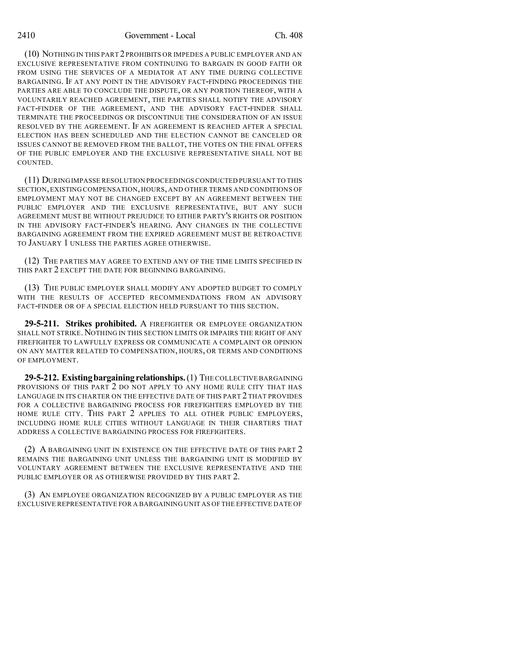(10) NOTHING IN THIS PART 2 PROHIBITS OR IMPEDES A PUBLIC EMPLOYER AND AN EXCLUSIVE REPRESENTATIVE FROM CONTINUING TO BARGAIN IN GOOD FAITH OR FROM USING THE SERVICES OF A MEDIATOR AT ANY TIME DURING COLLECTIVE BARGAINING. IF AT ANY POINT IN THE ADVISORY FACT-FINDING PROCEEDINGS THE PARTIES ARE ABLE TO CONCLUDE THE DISPUTE, OR ANY PORTION THEREOF, WITH A VOLUNTARILY REACHED AGREEMENT, THE PARTIES SHALL NOTIFY THE ADVISORY FACT-FINDER OF THE AGREEMENT, AND THE ADVISORY FACT-FINDER SHALL TERMINATE THE PROCEEDINGS OR DISCONTINUE THE CONSIDERATION OF AN ISSUE RESOLVED BY THE AGREEMENT. IF AN AGREEMENT IS REACHED AFTER A SPECIAL ELECTION HAS BEEN SCHEDULED AND THE ELECTION CANNOT BE CANCELED OR ISSUES CANNOT BE REMOVED FROM THE BALLOT, THE VOTES ON THE FINAL OFFERS OF THE PUBLIC EMPLOYER AND THE EXCLUSIVE REPRESENTATIVE SHALL NOT BE COUNTED.

(11) DURING IMPASSE RESOLUTION PROCEEDINGS CONDUCTED PURSUANT TO THIS SECTION,EXISTING COMPENSATION, HOURS, AND OTHER TERMS AND CONDITIONS OF EMPLOYMENT MAY NOT BE CHANGED EXCEPT BY AN AGREEMENT BETWEEN THE PUBLIC EMPLOYER AND THE EXCLUSIVE REPRESENTATIVE, BUT ANY SUCH AGREEMENT MUST BE WITHOUT PREJUDICE TO EITHER PARTY'S RIGHTS OR POSITION IN THE ADVISORY FACT-FINDER'S HEARING. ANY CHANGES IN THE COLLECTIVE BARGAINING AGREEMENT FROM THE EXPIRED AGREEMENT MUST BE RETROACTIVE TO JANUARY 1 UNLESS THE PARTIES AGREE OTHERWISE.

(12) THE PARTIES MAY AGREE TO EXTEND ANY OF THE TIME LIMITS SPECIFIED IN THIS PART 2 EXCEPT THE DATE FOR BEGINNING BARGAINING.

(13) THE PUBLIC EMPLOYER SHALL MODIFY ANY ADOPTED BUDGET TO COMPLY WITH THE RESULTS OF ACCEPTED RECOMMENDATIONS FROM AN ADVISORY FACT-FINDER OR OF A SPECIAL ELECTION HELD PURSUANT TO THIS SECTION.

**29-5-211. Strikes prohibited.** A FIREFIGHTER OR EMPLOYEE ORGANIZATION SHALL NOT STRIKE. NOTHING IN THIS SECTION LIMITS OR IMPAIRS THE RIGHT OF ANY FIREFIGHTER TO LAWFULLY EXPRESS OR COMMUNICATE A COMPLAINT OR OPINION ON ANY MATTER RELATED TO COMPENSATION, HOURS, OR TERMS AND CONDITIONS OF EMPLOYMENT.

**29-5-212. Existing bargaining relationships.** (1) THE COLLECTIVE BARGAINING PROVISIONS OF THIS PART 2 DO NOT APPLY TO ANY HOME RULE CITY THAT HAS LANGUAGE IN ITS CHARTER ON THE EFFECTIVE DATE OF THIS PART 2 THAT PROVIDES FOR A COLLECTIVE BARGAINING PROCESS FOR FIREFIGHTERS EMPLOYED BY THE HOME RULE CITY. THIS PART 2 APPLIES TO ALL OTHER PUBLIC EMPLOYERS, INCLUDING HOME RULE CITIES WITHOUT LANGUAGE IN THEIR CHARTERS THAT ADDRESS A COLLECTIVE BARGAINING PROCESS FOR FIREFIGHTERS.

(2) A BARGAINING UNIT IN EXISTENCE ON THE EFFECTIVE DATE OF THIS PART 2 REMAINS THE BARGAINING UNIT UNLESS THE BARGAINING UNIT IS MODIFIED BY VOLUNTARY AGREEMENT BETWEEN THE EXCLUSIVE REPRESENTATIVE AND THE PUBLIC EMPLOYER OR AS OTHERWISE PROVIDED BY THIS PART 2.

(3) AN EMPLOYEE ORGANIZATION RECOGNIZED BY A PUBLIC EMPLOYER AS THE EXCLUSIVE REPRESENTATIVE FOR A BARGAINING UNIT AS OF THE EFFECTIVE DATE OF